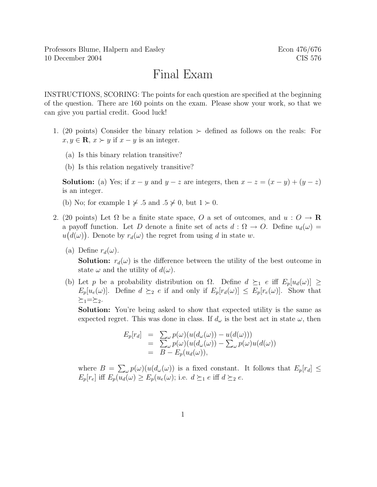## Final Exam

INSTRUCTIONS, SCORING: The points for each question are specified at the beginning of the question. There are 160 points on the exam. Please show your work, so that we can give you partial credit. Good luck!

- 1. (20 points) Consider the binary relation  $\succ$  defined as follows on the reals: For  $x, y \in \mathbf{R}, x \succ y$  if  $x - y$  is an integer.
	- (a) Is this binary relation transitive?
	- (b) Is this relation negatively transitive?

**Solution:** (a) Yes; if  $x - y$  and  $y - z$  are integers, then  $x - z = (x - y) + (y - z)$ is an integer.

- (b) No; for example  $1 \nless 0.5$  and  $.5 \nless 0$ , but  $1 \nless 0$ .
- 2. (20 points) Let  $\Omega$  be a finite state space, O a set of outcomes, and  $u: O \to \mathbf{R}$ a payoff function. Let D denote a finite set of acts  $d : \Omega \to O$ . Define  $u_d(\omega) =$  $u(d(\omega))$ . Denote by  $r_d(\omega)$  the regret from using d in state w.
	- (a) Define  $r_d(\omega)$ .

**Solution:**  $r_d(\omega)$  is the difference between the utility of the best outcome in state  $\omega$  and the utility of  $d(\omega)$ .

(b) Let p be a probability distribution on  $\Omega$ . Define  $d \succeq_1 e$  iff  $E_p[u_d(\omega)] \ge$  $E_p[u_e(\omega)]$ . Define  $d \succeq_2 e$  if and only if  $E_p[r_d(\omega)] \leq E_p[r_e(\omega)]$ . Show that  $\succeq_1=\succeq_2.$ 

Solution: You're being asked to show that expected utility is the same as expected regret. This was done in class. If  $d_{\omega}$  is the best act in state  $\omega$ , then

$$
E_p[r_d] = \sum_{\omega} p(\omega) (u(d_{\omega}(\omega)) - u(d(\omega)))
$$
  
= 
$$
\sum_{\omega} p(\omega) (u(d_{\omega}(\omega)) - \sum_{\omega} p(\omega)u(d(\omega)))
$$
  
= 
$$
B - E_p(u_d(\omega)),
$$

where  $B = \sum_{\omega} p(\omega) (u(d_{\omega}(\omega))$  is a fixed constant. It follows that  $E_p[r_d] \leq$  $E_p[r_e]$  iff  $E_p(u_d(\omega) \ge E_p(u_e(\omega))$ ; i.e.  $d \succeq_1 e$  iff  $d \succeq_2 e$ .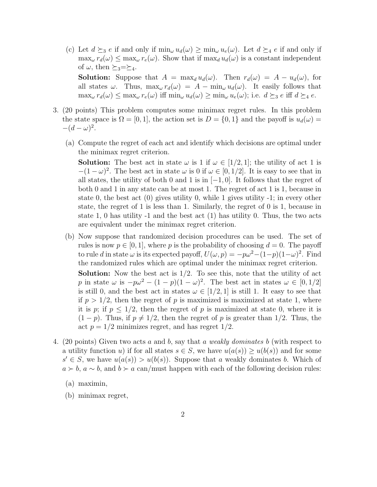(c) Let  $d \succeq_3 e$  if and only if  $\min_{\omega} u_d(\omega) \geq \min_{\omega} u_e(\omega)$ . Let  $d \succeq_4 e$  if and only if  $\max_{\omega} r_d(\omega) \leq \max_{\omega} r_e(\omega)$ . Show that if  $\max_{d} u_d(\omega)$  is a constant independent of  $\omega$ , then  $\succeq_3=\succeq_4$ .

**Solution:** Suppose that  $A = \max_d u_d(\omega)$ . Then  $r_d(\omega) = A - u_d(\omega)$ , for all states  $\omega$ . Thus,  $\max_{\omega} r_d(\omega) = A - \min_{\omega} u_d(\omega)$ . It easily follows that  $\max_{\omega} r_d(\omega) \leq \max_{\omega} r_e(\omega)$  iff  $\min_{\omega} u_d(\omega) \geq \min_{\omega} u_e(\omega)$ ; i.e.  $d \succeq_3 e$  iff  $d \succeq_4 e$ .

- 3. (20 points) This problem computes some minimax regret rules. In this problem the state space is  $\Omega = [0, 1]$ , the action set is  $D = \{0, 1\}$  and the payoff is  $u_d(\omega) =$  $-(d-\omega)^2$ .
	- (a) Compute the regret of each act and identify which decisions are optimal under the minimax regret criterion.

**Solution:** The best act in state  $\omega$  is 1 if  $\omega \in [1/2, 1]$ ; the utility of act 1 is  $-(1 - \omega)^2$ . The best act in state  $\omega$  is 0 if  $\omega \in [0, 1/2]$ . It is easy to see that in all states, the utility of both 0 and 1 is in  $[-1, 0]$ . It follows that the regret of both 0 and 1 in any state can be at most 1. The regret of act 1 is 1, because in state 0, the best act (0) gives utility 0, while 1 gives utility -1; in every other state, the regret of 1 is less than 1. Similarly, the regret of 0 is 1, because in state 1, 0 has utility -1 and the best act (1) has utility 0. Thus, the two acts are equivalent under the minimax regret criterion.

(b) Now suppose that randomized decision procedures can be used. The set of rules is now  $p \in [0, 1]$ , where p is the probability of choosing  $d = 0$ . The payoff to rule d in state  $\omega$  is its expected payoff,  $U(\omega, p) = -p\omega^2 - (1-p)(1-\omega)^2$ . Find the randomized rules which are optimal under the minimax regret criterion.

**Solution:** Now the best act is  $1/2$ . To see this, note that the utility of act p in state  $\omega$  is  $-p\omega^2 - (1-p)(1-\omega)^2$ . The best act in states  $\omega \in [0,1/2]$ is still 0, and the best act in states  $\omega \in [1/2, 1]$  is still 1. It easy to see that if  $p > 1/2$ , then the regret of p is maximized is maximized at state 1, where it is p; if  $p \leq 1/2$ , then the regret of p is maximized at state 0, where it is  $(1-p)$ . Thus, if  $p \neq 1/2$ , then the regret of p is greater than 1/2. Thus, the act  $p = 1/2$  minimizes regret, and has regret  $1/2$ .

- 4. (20 points) Given two acts a and b, say that a weakly dominates b (with respect to a utility function u) if for all states  $s \in S$ , we have  $u(a(s)) \ge u(b(s))$  and for some  $s' \in S$ , we have  $u(a(s)) > u(b(s))$ . Suppose that a weakly dominates b. Which of  $a \succ b$ ,  $a \sim b$ , and  $b \succ a$  can/must happen with each of the following decision rules:
	- (a) maximin,
	- (b) minimax regret,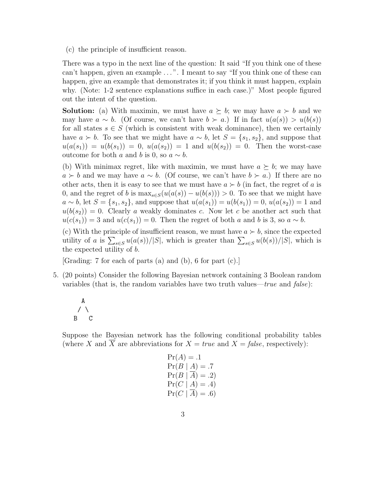(c) the principle of insufficient reason.

There was a typo in the next line of the question: It said "If you think one of these can't happen, given an example ...". I meant to say "If you think one of these can happen, give an example that demonstrates it; if you think it must happen, explain why. (Note: 1-2 sentence explanations suffice in each case.)" Most people figured out the intent of the question.

**Solution:** (a) With maximin, we must have  $a \succeq b$ ; we may have  $a \succ b$  and we may have  $a \sim b$ . (Of course, we can't have  $b \succ a$ .) If in fact  $u(a(s)) > u(b(s))$ for all states  $s \in S$  (which is consistent with weak dominance), then we certainly have  $a > b$ . To see that we might have  $a \sim b$ , let  $S = \{s_1, s_2\}$ , and suppose that  $u(a(s_1)) = u(b(s_1)) = 0, u(a(s_2)) = 1$  and  $u(b(s_2)) = 0$ . Then the worst-case outcome for both a and b is 0, so  $a \sim b$ .

(b) With minimax regret, like with maximin, we must have  $a \succeq b$ ; we may have  $a \succ b$  and we may have  $a \sim b$ . (Of course, we can't have  $b \succ a$ .) If there are no other acts, then it is easy to see that we must have  $a \succ b$  (in fact, the regret of a is 0, and the regret of b is  $\max_{s \in S}(u(a(s)) - u(b(s))) > 0$ . To see that we might have  $a \sim b$ , let  $S = \{s_1, s_2\}$ , and suppose that  $u(a(s_1)) = u(b(s_1)) = 0$ ,  $u(a(s_2)) = 1$  and  $u(b(s_2)) = 0$ . Clearly a weakly dominates c. Now let c be another act such that  $u(c(s_1)) = 3$  and  $u(c(s_1)) = 0$ . Then the regret of both a and b is 3, so  $a \sim b$ .

(c) With the principle of insufficient reason, we must have  $a \succ b$ , since the expected utility of a is  $\sum_{s\in S} u(a(s))/|S|$ , which is greater than  $\sum_{s\in S} u(b(s))/|S|$ , which is the expected utility of b.

[Grading: 7 for each of parts (a) and (b), 6 for part (c).]

5. (20 points) Consider the following Bayesian network containing 3 Boolean random variables (that is, the random variables have two truth values—true and  $false$ ):

A  $/ \ \backslash$ B C

Suppose the Bayesian network has the following conditional probability tables (where X and X are abbreviations for  $X = true$  and  $X = false$ , respectively):

$$
Pr(A) = .1
$$
  
\n
$$
Pr(B | A) = .7
$$
  
\n
$$
Pr(B | \overline{A}) = .2)
$$
  
\n
$$
Pr(C | A) = .4)
$$
  
\n
$$
Pr(C | \overline{A}) = .6)
$$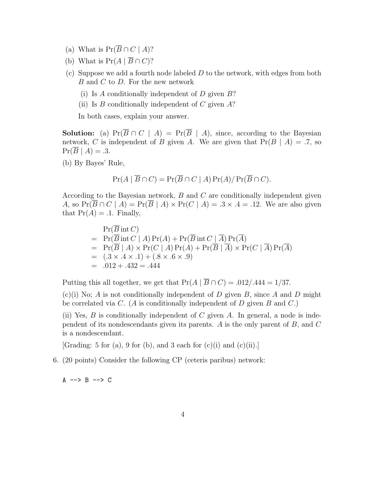- (a) What is  $Pr(\overline{B} \cap C \mid A)$ ?
- (b) What is  $Pr(A | \overline{B} \cap C)$ ?
- (c) Suppose we add a fourth node labeled  $D$  to the network, with edges from both  $B$  and  $C$  to  $D$ . For the new network
	- (i) Is A conditionally independent of  $D$  given  $B$ ?
	- (ii) Is B conditionally independent of C given  $A$ ?

In both cases, explain your answer.

**Solution:** (a) Pr( $\overline{B} \cap C \mid A$ ) = Pr( $\overline{B} \mid A$ ), since, according to the Bayesian network, C is independent of B given A. We are given that  $Pr(B \mid A) = .7$ , so  $Pr(\overline{B} \mid A) = .3.$ 

(b) By Bayes' Rule,

$$
Pr(A | \overline{B} \cap C) = Pr(\overline{B} \cap C | A) Pr(A) / Pr(\overline{B} \cap C).
$$

According to the Bayesian network, B and C are conditionally independent given A, so  $Pr(\overline{B} \cap C \mid A) = Pr(\overline{B} \mid A) \times Pr(C \mid A) = .3 \times .4 = .12$ . We are also given that  $Pr(A) = .1$ . Finally,

$$
\Pr(\overline{B} \text{ int } C)
$$
\n= 
$$
\Pr(\overline{B} \text{ int } C | A) \Pr(A) + \Pr(\overline{B} \text{ int } C | \overline{A}) \Pr(\overline{A})
$$
\n= 
$$
\Pr(\overline{B} | A) \times \Pr(C | A) \Pr(A) + \Pr(\overline{B} | \overline{A}) \times \Pr(C | \overline{A}) \Pr(\overline{A})
$$
\n= 
$$
(0.3 \times 0.4 \times 0.1) + (0.8 \times 0.6 \times 0.9)
$$
\n= 
$$
0.012 + 0.432 = 0.444
$$

Putting this all together, we get that  $Pr(A | \overline{B} \cap C) = .012/.444 = 1/37.$ 

 $(c)(i)$  No; A is not conditionally independent of D given B, since A and D might be correlated via C. (A is conditionally independent of D given B and C.)

(ii) Yes,  $B$  is conditionally independent of  $C$  given  $A$ . In general, a node is independent of its nondescendants given its parents. A is the only parent of B, and C is a nondescendant.

[Grading: 5 for (a), 9 for (b), and 3 each for  $(c)(i)$  and  $(c)(ii)$ .]

6. (20 points) Consider the following CP (ceteris paribus) network:

 $A \rightarrow B \rightarrow C$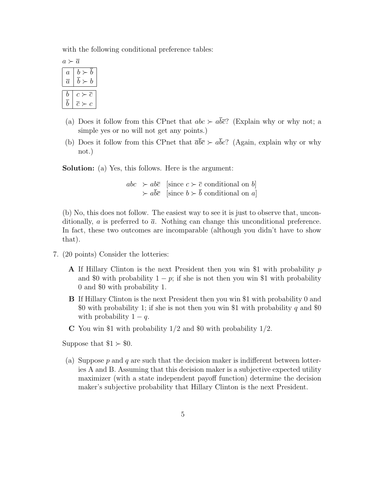with the following conditional preference tables:

| A.<br>a.       |                                      |
|----------------|--------------------------------------|
| $\overline{a}$ | $\boldsymbol{b}$<br>$\boldsymbol{b}$ |
| $\overline{a}$ | $b \succ$<br>$\boldsymbol{b}$        |
| b              | $\overline{c}$<br>$c \succ$          |
| h              | $\overline{c}$<br>م                  |

- (a) Does it follow from this CPnet that  $abc \succ a\overline{bc}$ ? (Explain why or why not; a simple yes or no will not get any points.)
- (b) Does it follow from this CPnet that  $\overline{a}b\overline{c} \succ a\overline{b}c$ ? (Again, explain why or why not.)

Solution: (a) Yes, this follows. Here is the argument:

 $abc \rightarrow ab\bar{c}$  [since  $c \succ \bar{c}$  conditional on b]  $\rightarrow a\overline{b}\overline{c}$  [since  $b \rightarrow \overline{b}$  conditional on  $a$ ]

(b) No, this does not follow. The easiest way to see it is just to observe that, unconditionally, a is preferred to  $\bar{a}$ . Nothing can change this unconditional preference. In fact, these two outcomes are incomparable (although you didn't have to show that).

- 7. (20 points) Consider the lotteries:
	- A If Hillary Clinton is the next President then you win \$1 with probability p and \$0 with probability  $1 - p$ ; if she is not then you win \$1 with probability 0 and \$0 with probability 1.
	- B If Hillary Clinton is the next President then you win \$1 with probability 0 and \$0 with probability 1; if she is not then you win \$1 with probability q and \$0 with probability  $1 - q$ .
	- C You win \$1 with probability  $1/2$  and \$0 with probability  $1/2$ .

Suppose that  $$1 > $0$ .

(a) Suppose  $p$  and  $q$  are such that the decision maker is indifferent between lotteries A and B. Assuming that this decision maker is a subjective expected utility maximizer (with a state independent payoff function) determine the decision maker's subjective probability that Hillary Clinton is the next President.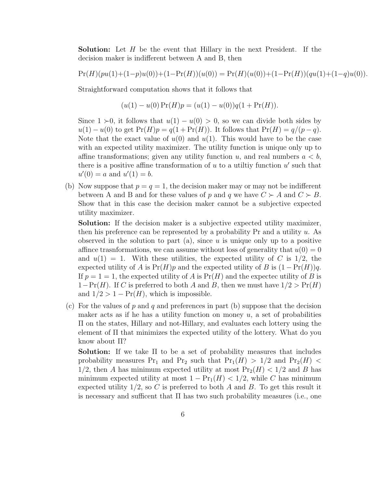Solution: Let H be the event that Hillary in the next President. If the decision maker is indifferent between A and B, then

$$
\Pr(H)(pu(1)+(1-p)u(0))+(1-\Pr(H))(u(0))=\Pr(H)(u(0))+(1-\Pr(H))(qu(1)+(1-q)u(0)).
$$

Straightforward computation shows that it follows that

$$
(u(1) – u(0) Pr(H)p = (u(1) – u(0))q(1 + Pr(H)).
$$

Since  $1 \geq 0$ , it follows that  $u(1) - u(0) > 0$ , so we can divide both sides by  $u(1) - u(0)$  to get  $Pr(H)p = q(1 + Pr(H))$ . It follows that  $Pr(H) = q/(p-q)$ . Note that the exact value of  $u(0)$  and  $u(1)$ . This would have to be the case with an expected utility maximizer. The utility function is unique only up to affine transformations; given any utility function u, and real numbers  $a < b$ , there is a positive affine transformation of  $u$  to a utility function  $u'$  such that  $u'(0) = a$  and  $u'(1) = b$ .

(b) Now suppose that  $p = q = 1$ , the decision maker may or may not be indifferent between A and B and for these values of p and q we have  $C \succ A$  and  $C \succ B$ . Show that in this case the decision maker cannot be a subjective expected utility maximizer.

Solution: If the decision maker is a subjective expected utility maximizer, then his preference can be represented by a probability  $Pr$  and a utility  $u$ . As observed in the solution to part  $(a)$ , since u is unique only up to a positive affince trasnformations, we can assume without loss of generality that  $u(0) = 0$ and  $u(1) = 1$ . With these utilities, the expected utility of C is 1/2, the expected utility of A is  $Pr(H)p$  and the expected utility of B is  $(1 - Pr(H))q$ . If  $p = 1 = 1$ , the expected utility of A is  $Pr(H)$  and the expected utility of B is  $1-\Pr(H)$ . If C is preferred to both A and B, then we must have  $1/2 > \Pr(H)$ and  $1/2 > 1 - Pr(H)$ , which is impossible.

(c) For the values of  $p$  and  $q$  and preferences in part (b) suppose that the decision maker acts as if he has a utility function on money  $u$ , a set of probabilities Π on the states, Hillary and not-Hillary, and evaluates each lottery using the element of Π that minimizes the expected utility of the lottery. What do you know about Π?

Solution: If we take Π to be a set of probability measures that includes probability measures Pr<sub>1</sub> and Pr<sub>2</sub> such that  $Pr_1(H) > 1/2$  and  $Pr_2(H) <$ 1/2, then A has minimum expected utility at most  $Pr_2(H) < 1/2$  and B has minimum expected utility at most  $1 - Pr_1(H) < 1/2$ , while C has minimum expected utility  $1/2$ , so C is preferred to both A and B. To get this result it is necessary and sufficent that  $\Pi$  has two such probability measures (i.e., one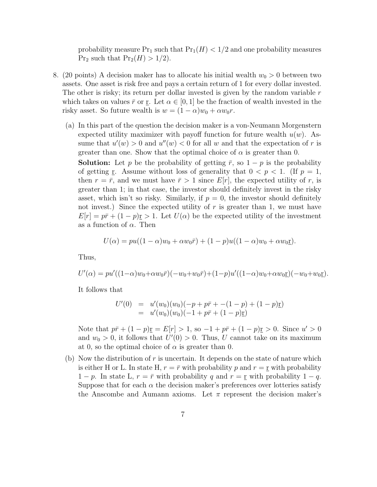probability measure  $Pr_1$  such that  $Pr_1(H) < 1/2$  and one probability measures  $Pr_2$  such that  $Pr_2(H) > 1/2$ .

- 8. (20 points) A decision maker has to allocate his initial wealth  $w_0 > 0$  between two assets. One asset is risk free and pays a certain return of 1 for every dollar invested. The other is risky; its return per dollar invested is given by the random variable  $r$ which takes on values  $\bar{r}$  or r. Let  $\alpha \in [0,1]$  be the fraction of wealth invested in the risky asset. So future wealth is  $w = (1 - \alpha)w_0 + \alpha w_0 r$ .
	- (a) In this part of the question the decision maker is a von-Neumann Morgenstern expected utility maximizer with payoff function for future wealth  $u(w)$ . Assume that  $u'(w) > 0$  and  $u''(w) < 0$  for all w and that the expectation of r is greater than one. Show that the optimal choice of  $\alpha$  is greater than 0.

**Solution:** Let p be the probability of getting  $\bar{r}$ , so  $1 - p$  is the probability of getting r. Assume without loss of generality that  $0 < p < 1$ . (If  $p = 1$ , then  $r = \bar{r}$ , and we must have  $\bar{r} > 1$  since  $E[r]$ , the expected utility of r, is greater than 1; in that case, the investor should definitely invest in the risky asset, which isn't so risky. Similarly, if  $p = 0$ , the investor should definitely not invest.) Since the expected utility of  $r$  is greater than 1, we must have  $E[r] = p\bar{r} + (1-p)\underline{r} > 1$ . Let  $U(\alpha)$  be the expected utility of the investment as a function of  $\alpha$ . Then

$$
U(\alpha) = pu((1 - \alpha)w_0 + \alpha w_0\overline{r}) + (1 - p)u((1 - \alpha)w_0 + \alpha w_0\underline{r}).
$$

Thus,

$$
U'(\alpha) = pu'((1-\alpha)w_0 + \alpha w_0 \bar{r})(-w_0 + w_0 \bar{r}) + (1-p)u'((1-\alpha)w_0 + \alpha w_0 \underline{r})(-w_0 + w_0 \underline{r}).
$$

It follows that

$$
U'(0) = u'(w_0)(w_0)(-p + p\bar{r} + -(1 - p) + (1 - p)\underline{r})
$$
  
=  $u'(w_0)(w_0)(-1 + p\bar{r} + (1 - p)\underline{r})$ 

Note that  $p\bar{r} + (1-p)\underline{r} = E[r] > 1$ , so  $-1 + p\bar{r} + (1-p)\underline{r} > 0$ . Since  $u' > 0$ and  $w_0 > 0$ , it follows that  $U'(0) > 0$ . Thus, U cannot take on its maximum at 0, so the optimal choice of  $\alpha$  is greater than 0.

(b) Now the distribution of r is uncertain. It depends on the state of nature which is either H or L. In state H,  $r = \bar{r}$  with probability p and  $r = r$  with probability  $1 - p$ . In state L,  $r = \overline{r}$  with probability q and  $r = r$  with probability  $1 - q$ . Suppose that for each  $\alpha$  the decision maker's preferences over lotteries satisfy the Anscombe and Aumann axioms. Let  $\pi$  represent the decision maker's